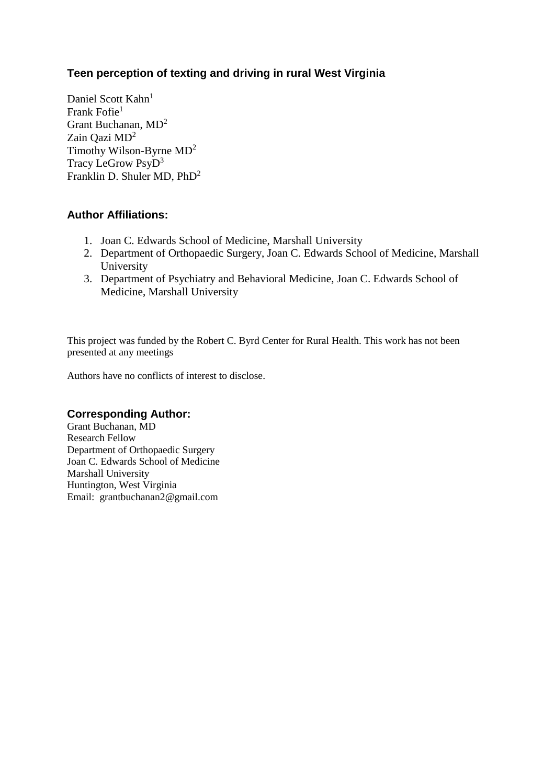# **Teen perception of texting and driving in rural West Virginia**

Daniel Scott Kahn<sup>1</sup> Frank Fofie<sup>1</sup> Grant Buchanan, MD<sup>2</sup> Zain Qazi MD<sup>2</sup> Timothy Wilson-Byrne MD<sup>2</sup> Tracy LeGrow PsyD<sup>3</sup> Franklin D. Shuler MD, PhD<sup>2</sup>

### **Author Affiliations:**

- 1. Joan C. Edwards School of Medicine, Marshall University
- 2. Department of Orthopaedic Surgery, Joan C. Edwards School of Medicine, Marshall University
- 3. Department of Psychiatry and Behavioral Medicine, Joan C. Edwards School of Medicine, Marshall University

This project was funded by the Robert C. Byrd Center for Rural Health. This work has not been presented at any meetings

Authors have no conflicts of interest to disclose.

#### **Corresponding Author:**

Grant Buchanan, MD Research Fellow Department of Orthopaedic Surgery Joan C. Edwards School of Medicine Marshall University Huntington, West Virginia Email: grantbuchanan2@gmail.com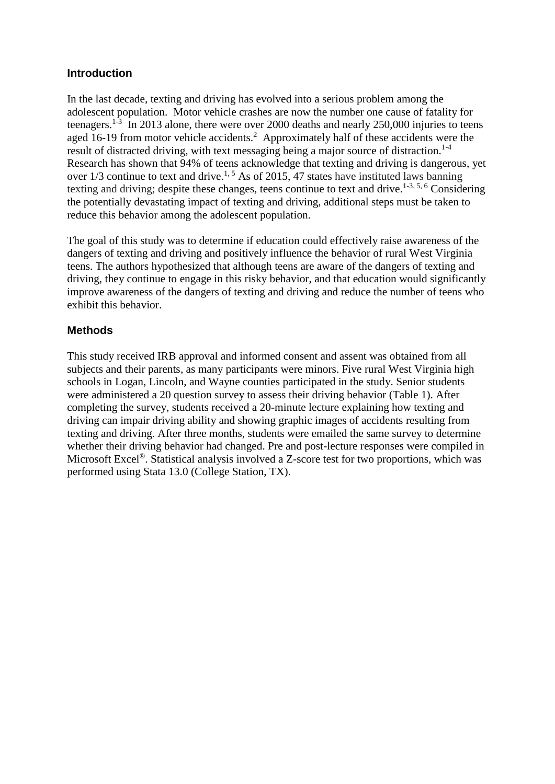#### **Introduction**

In the last decade, texting and driving has evolved into a serious problem among the adolescent population. Motor vehicle crashes are now the number one cause of fatality for teenagers.<sup>[1-3](#page-6-0)</sup> In 2013 alone, there were over 2000 deaths and nearly 250,000 injuries to teens aged 16-19 from motor vehicle accidents.<sup>[2](#page-6-1)</sup> Approximately half of these accidents were the result of distracted driving, with text messaging being a major source of distraction.<sup>[1-4](#page-6-0)</sup> Research has shown that 94% of teens acknowledge that texting and driving is dangerous, yet over  $1/3$  continue to text and drive.<sup>[1,](#page-6-0) [5](#page-6-2)</sup> As of 2015, 47 states have instituted laws banning texting and driving; despite these changes, teens continue to text and drive.<sup>[1-3,](#page-6-0) [5,](#page-6-2) [6](#page-6-3)</sup> Considering the potentially devastating impact of texting and driving, additional steps must be taken to reduce this behavior among the adolescent population.

The goal of this study was to determine if education could effectively raise awareness of the dangers of texting and driving and positively influence the behavior of rural West Virginia teens. The authors hypothesized that although teens are aware of the dangers of texting and driving, they continue to engage in this risky behavior, and that education would significantly improve awareness of the dangers of texting and driving and reduce the number of teens who exhibit this behavior.

### **Methods**

This study received IRB approval and informed consent and assent was obtained from all subjects and their parents, as many participants were minors. Five rural West Virginia high schools in Logan, Lincoln, and Wayne counties participated in the study. Senior students were administered a 20 question survey to assess their driving behavior (Table 1). After completing the survey, students received a 20-minute lecture explaining how texting and driving can impair driving ability and showing graphic images of accidents resulting from texting and driving. After three months, students were emailed the same survey to determine whether their driving behavior had changed. Pre and post-lecture responses were compiled in Microsoft Excel<sup>®</sup>. Statistical analysis involved a Z-score test for two proportions, which was performed using Stata 13.0 (College Station, TX).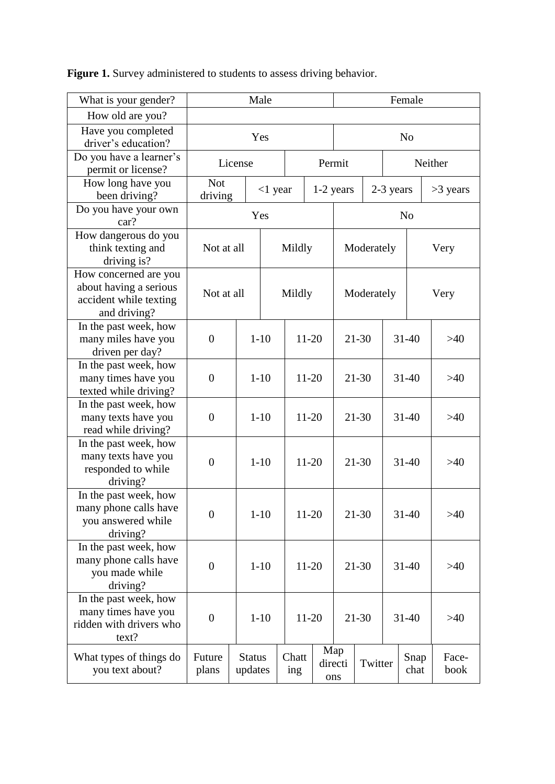| What is your gender?                                                                      | Male                  |                          |            |     | Female            |            |                           |           |           |              |               |
|-------------------------------------------------------------------------------------------|-----------------------|--------------------------|------------|-----|-------------------|------------|---------------------------|-----------|-----------|--------------|---------------|
| How old are you?                                                                          |                       |                          |            |     |                   |            |                           |           |           |              |               |
| Have you completed<br>driver's education?                                                 | Yes                   |                          |            |     |                   |            | N <sub>o</sub>            |           |           |              |               |
| Do you have a learner's<br>permit or license?                                             | License               |                          |            |     | Permit<br>Neither |            |                           |           |           |              |               |
| How long have you<br>been driving?                                                        | <b>Not</b><br>driving |                          | $<$ 1 year |     |                   | 1-2 years  |                           | 2-3 years |           | $>3$ years   |               |
| Do you have your own<br>car?                                                              | Yes<br>N <sub>0</sub> |                          |            |     |                   |            |                           |           |           |              |               |
| How dangerous do you<br>think texting and<br>driving is?                                  | Not at all<br>Mildly  |                          |            |     | Moderately        |            |                           |           | Very      |              |               |
| How concerned are you<br>about having a serious<br>accident while texting<br>and driving? | Not at all            | Mildly                   |            |     |                   | Moderately |                           |           |           | Very         |               |
| In the past week, how<br>many miles have you<br>driven per day?                           | $\theta$              |                          | $1 - 10$   |     | $11 - 20$         |            | $21 - 30$                 |           |           | $31 - 40$    | >40           |
| In the past week, how<br>many times have you<br>texted while driving?                     | $\theta$              |                          | $1 - 10$   |     | 11-20             |            | $21 - 30$                 |           | $31 - 40$ |              | >40           |
| In the past week, how<br>many texts have you<br>read while driving?                       | $\theta$              |                          | $1 - 10$   |     | $11 - 20$         |            | $21 - 30$                 |           |           | $31 - 40$    | >40           |
| In the past week, how<br>many texts have you<br>responded to while<br>driving?            | $\boldsymbol{0}$      |                          | $1 - 10$   |     | $11 - 20$         |            | $21 - 30$                 |           | $31 - 40$ |              | >40           |
| In the past week, how<br>many phone calls have<br>you answered while<br>driving?          | $\theta$              |                          | $1 - 10$   |     | $11 - 20$         |            | 21-30                     |           | $31 - 40$ |              | $>40$         |
| In the past week, how<br>many phone calls have<br>you made while<br>driving?              | $\boldsymbol{0}$      |                          | $1 - 10$   |     | 11-20             |            | 21-30                     |           | $31 - 40$ |              | >40           |
| In the past week, how<br>many times have you<br>ridden with drivers who<br>text?          | $\overline{0}$        |                          | $1 - 10$   |     | 11-20             |            | 21-30                     |           | $31 - 40$ |              | >40           |
| What types of things do<br>you text about?                                                | Future<br>plans       | <b>Status</b><br>updates |            | ing | Map<br>Chatt      |            | directi<br>Twitter<br>ons |           |           | Snap<br>chat | Face-<br>book |

Figure 1. Survey administered to students to assess driving behavior.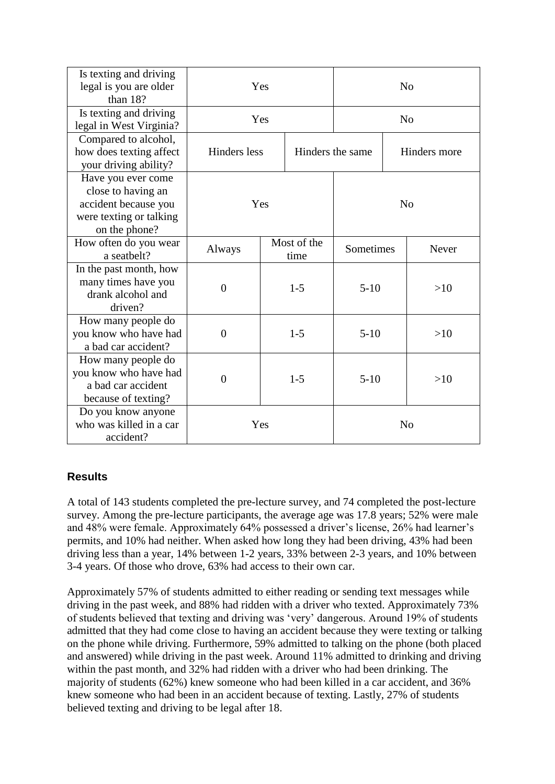| Is texting and driving<br>legal is you are older<br>than 18?                                                 | Yes                                     |                     | N <sub>0</sub> |                |  |              |  |
|--------------------------------------------------------------------------------------------------------------|-----------------------------------------|---------------------|----------------|----------------|--|--------------|--|
| Is texting and driving<br>legal in West Virginia?                                                            | Yes                                     |                     | N <sub>o</sub> |                |  |              |  |
| Compared to alcohol,<br>how does texting affect<br>your driving ability?                                     | <b>Hinders</b> less<br>Hinders the same |                     |                | Hinders more   |  |              |  |
| Have you ever come<br>close to having an<br>accident because you<br>were texting or talking<br>on the phone? | Yes                                     |                     |                | N <sub>0</sub> |  |              |  |
| How often do you wear<br>a seatbelt?                                                                         | Always                                  | Most of the<br>time |                | Sometimes      |  | <b>Never</b> |  |
| In the past month, how<br>many times have you<br>drank alcohol and<br>driven?                                | $\overline{0}$                          |                     | $1 - 5$        | $5-10$         |  | >10          |  |
| How many people do<br>you know who have had<br>a bad car accident?                                           | $\overline{0}$                          |                     | $1-5$          | $5-10$         |  | >10          |  |
| How many people do<br>you know who have had<br>a bad car accident<br>because of texting?                     | $\overline{0}$                          |                     | $1 - 5$        | $5-10$         |  | >10          |  |
| Do you know anyone<br>who was killed in a car<br>accident?                                                   | Yes                                     |                     |                | N <sub>o</sub> |  |              |  |

## **Results**

A total of 143 students completed the pre-lecture survey, and 74 completed the post-lecture survey. Among the pre-lecture participants, the average age was 17.8 years; 52% were male and 48% were female. Approximately 64% possessed a driver's license, 26% had learner's permits, and 10% had neither. When asked how long they had been driving, 43% had been driving less than a year, 14% between 1-2 years, 33% between 2-3 years, and 10% between 3-4 years. Of those who drove, 63% had access to their own car.

Approximately 57% of students admitted to either reading or sending text messages while driving in the past week, and 88% had ridden with a driver who texted. Approximately 73% of students believed that texting and driving was 'very' dangerous. Around 19% of students admitted that they had come close to having an accident because they were texting or talking on the phone while driving. Furthermore, 59% admitted to talking on the phone (both placed and answered) while driving in the past week. Around 11% admitted to drinking and driving within the past month, and  $32\%$  had ridden with a driver who had been drinking. The majority of students (62%) knew someone who had been killed in a car accident, and 36% knew someone who had been in an accident because of texting. Lastly, 27% of students believed texting and driving to be legal after 18.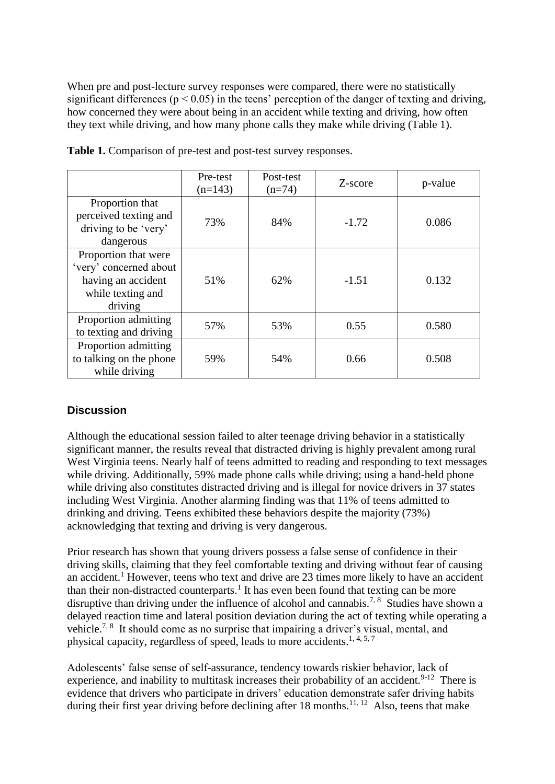When pre and post-lecture survey responses were compared, there were no statistically significant differences ( $p < 0.05$ ) in the teens' perception of the danger of texting and driving, how concerned they were about being in an accident while texting and driving, how often they text while driving, and how many phone calls they make while driving (Table 1).

|                                                                                                      | Pre-test<br>$(n=143)$ | Post-test<br>$(n=74)$ | Z-score | p-value |
|------------------------------------------------------------------------------------------------------|-----------------------|-----------------------|---------|---------|
| Proportion that<br>perceived texting and<br>driving to be 'very'<br>dangerous                        | 73%                   | 84%                   | $-1.72$ | 0.086   |
| Proportion that were<br>'very' concerned about<br>having an accident<br>while texting and<br>driving | 51%                   | 62%                   | $-1.51$ | 0.132   |
| Proportion admitting<br>to texting and driving                                                       | 57%                   | 53%                   | 0.55    | 0.580   |
| Proportion admitting<br>to talking on the phone<br>while driving                                     | 59%                   | 54%                   | 0.66    | 0.508   |

**Table 1.** Comparison of pre-test and post-test survey responses.

## **Discussion**

Although the educational session failed to alter teenage driving behavior in a statistically significant manner, the results reveal that distracted driving is highly prevalent among rural West Virginia teens. Nearly half of teens admitted to reading and responding to text messages while driving. Additionally, 59% made phone calls while driving; using a hand-held phone while driving also constitutes distracted driving and is illegal for novice drivers in 37 states including West Virginia. Another alarming finding was that 11% of teens admitted to drinking and driving. Teens exhibited these behaviors despite the majority (73%) acknowledging that texting and driving is very dangerous.

Prior research has shown that young drivers possess a false sense of confidence in their driving skills, claiming that they feel comfortable texting and driving without fear of causing an accident.<sup>[1](file:///C:/Users/Sona/Desktop/sona%20edits%201039%20Teen%20texting.doc%23_ENREF_1)</sup> However, teens who text and drive are 23 times more likely to have an accident than their non-distracted counterparts.<sup>[1](file:///C:/Users/Sona/Desktop/sona%20edits%201039%20Teen%20texting.doc%23_ENREF_1)</sup> It has even been found that texting can be more disruptive than driving under the influence of alcohol and cannabis.<sup>[7,](file:///C:/Users/Sona/Desktop/sona%20edits%201039%20Teen%20texting.doc%23_ENREF_7)8</sup> Studies have shown a delayed reaction time and lateral position deviation during the act of texting while operating a vehicle.<sup>[7,](file:///C:/Users/Sona/Desktop/sona%20edits%201039%20Teen%20texting.doc%23_ENREF_7) [8](file:///C:/Users/Sona/Desktop/sona%20edits%201039%20Teen%20texting.doc%23_ENREF_8)</sup> It should come as no surprise that impairing a driver's visual, mental, and physical capacity, regardless of speed, leads to more accidents.<sup>[1,](file:///C:/Users/Sona/Desktop/sona%20edits%201039%20Teen%20texting.doc%23_ENREF_1) [4,](file:///C:/Users/Sona/Desktop/sona%20edits%201039%20Teen%20texting.doc%23_ENREF_4) [5,](file:///C:/Users/Sona/Desktop/sona%20edits%201039%20Teen%20texting.doc%23_ENREF_5) [7](file:///C:/Users/Sona/Desktop/sona%20edits%201039%20Teen%20texting.doc%23_ENREF_7)</sup>

Adolescents' false sense of self-assurance, tendency towards riskier behavior, lack of experience, and inability to multitask increases their probability of an accident.<sup>[9-12](file:///C:/Users/Sona/Desktop/sona%20edits%201039%20Teen%20texting.doc%23_ENREF_9)</sup> There is evidence that drivers who participate in drivers' education demonstrate safer driving habits during their first year driving before declining after  $18$  months.<sup>[11,](file:///C:/Users/Sona/Desktop/sona%20edits%201039%20Teen%20texting.doc%23_ENREF_11) [12](file:///C:/Users/Sona/Desktop/sona%20edits%201039%20Teen%20texting.doc%23_ENREF_12)</sup> Also, teens that make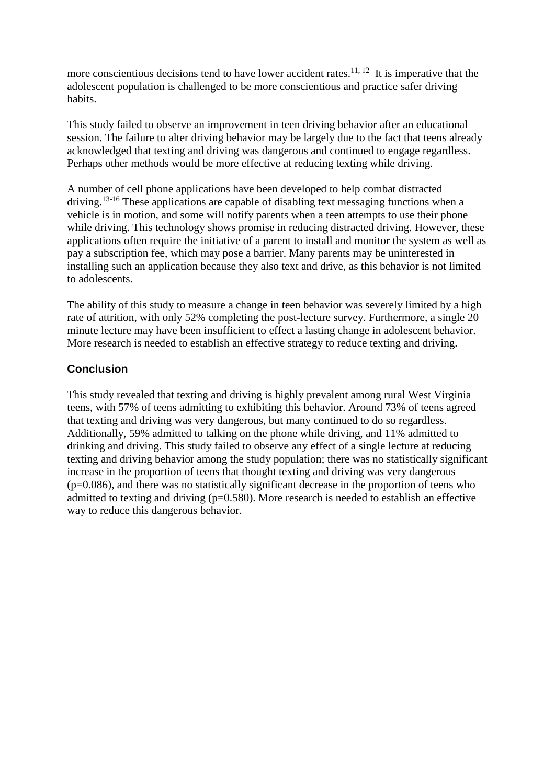more conscientious decisions tend to have lower accident rates.<sup>[11,](file:///C:/Users/Sona/Desktop/sona%20edits%201039%20Teen%20texting.doc%23_ENREF_11) [12](file:///C:/Users/Sona/Desktop/sona%20edits%201039%20Teen%20texting.doc%23_ENREF_12)</sup> It is imperative that the adolescent population is challenged to be more conscientious and practice safer driving habits.

This study failed to observe an improvement in teen driving behavior after an educational session. The failure to alter driving behavior may be largely due to the fact that teens already acknowledged that texting and driving was dangerous and continued to engage regardless. Perhaps other methods would be more effective at reducing texting while driving.

A number of cell phone applications have been developed to help combat distracted driving.<sup>[13-16](file:///C:/Users/Sona/Desktop/sona%20edits%201039%20Teen%20texting.doc%23_ENREF_13)</sup> These applications are capable of disabling text messaging functions when a vehicle is in motion, and some will notify parents when a teen attempts to use their phone while driving. This technology shows promise in reducing distracted driving. However, these applications often require the initiative of a parent to install and monitor the system as well as pay a subscription fee, which may pose a barrier. Many parents may be uninterested in installing such an application because they also text and drive, as this behavior is not limited to adolescents.

The ability of this study to measure a change in teen behavior was severely limited by a high rate of attrition, with only 52% completing the post-lecture survey. Furthermore, a single 20 minute lecture may have been insufficient to effect a lasting change in adolescent behavior. More research is needed to establish an effective strategy to reduce texting and driving.

## **Conclusion**

This study revealed that texting and driving is highly prevalent among rural West Virginia teens, with 57% of teens admitting to exhibiting this behavior. Around 73% of teens agreed that texting and driving was very dangerous, but many continued to do so regardless. Additionally, 59% admitted to talking on the phone while driving, and 11% admitted to drinking and driving. This study failed to observe any effect of a single lecture at reducing texting and driving behavior among the study population; there was no statistically significant increase in the proportion of teens that thought texting and driving was very dangerous  $(p=0.086)$ , and there was no statistically significant decrease in the proportion of teens who admitted to texting and driving  $(p=0.580)$ . More research is needed to establish an effective way to reduce this dangerous behavior.